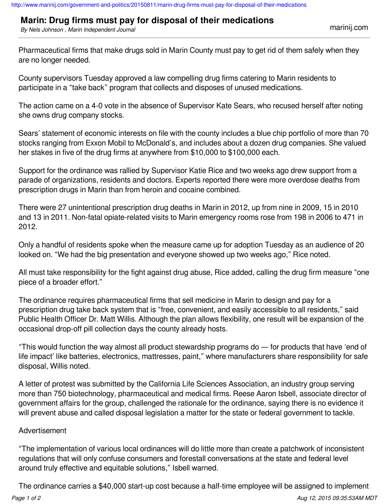## **Marin: Drug firms must pay for disposal of their medications**

*By Nels Johnson , Marin Independent Journal* marinij.com

Pharmaceutical firms that make drugs sold in Marin County must pay to get rid of them safely when they are no longer needed.

County supervisors Tuesday approved a law compelling drug firms catering to Marin residents to participate in a "take back" program that collects and disposes of unused medications.

The action came on a 4-0 vote in the absence of Supervisor Kate Sears, who recused herself after noting she owns drug company stocks.

Sears' statement of economic interests on file with the county includes a blue chip portfolio of more than 70 stocks ranging from Exxon Mobil to McDonald's, and includes about a dozen drug companies. She valued her stakes in five of the drug firms at anywhere from \$10,000 to \$100,000 each.

Support for the ordinance was rallied by Supervisor Katie Rice and two weeks ago drew support from a parade of organizations, residents and doctors. Experts reported there were more overdose deaths from prescription drugs in Marin than from heroin and cocaine combined.

There were 27 unintentional prescription drug deaths in Marin in 2012, up from nine in 2009, 15 in 2010 and 13 in 2011. Non-fatal opiate-related visits to Marin emergency rooms rose from 198 in 2006 to 471 in 2012.

Only a handful of residents spoke when the measure came up for adoption Tuesday as an audience of 20 looked on. "We had the big presentation and everyone showed up two weeks ago," Rice noted.

All must take responsibility for the fight against drug abuse, Rice added, calling the drug firm measure "one piece of a broader effort."

The ordinance requires pharmaceutical firms that sell medicine in Marin to design and pay for a prescription drug take back system that is "free, convenient, and easily accessible to all residents," said Public Health Officer Dr. Matt Willis. Although the plan allows flexibility, one result will be expansion of the occasional drop-off pill collection days the county already hosts.

"This would function the way almost all product stewardship programs do — for products that have 'end of life impact' like batteries, electronics, mattresses, paint," where manufacturers share responsibility for safe disposal, Willis noted.

A letter of protest was submitted by the California Life Sciences Association, an industry group serving more than 750 biotechnology, pharmaceutical and medical firms. Reese Aaron Isbell, associate director of government affairs for the group, challenged the rationale for the ordinance, saying there is no evidence it will prevent abuse and called disposal legislation a matter for the state or federal government to tackle.

## Advertisement

"The implementation of various local ordinances will do little more than create a patchwork of inconsistent regulations that will only confuse consumers and forestall conversations at the state and federal level around truly effective and equitable solutions," Isbell warned.

The ordinance carries a \$40,000 start-up cost because a half-time employee will be assigned to implement